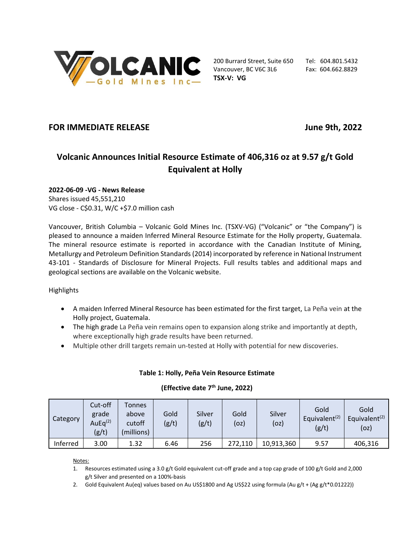

200 Burrard Street, Suite 650 Tel: 604.801.5432 Vancouver, BC V6C 3L6 Fax: 604.662.8829 **TSX-V: VG**

# **FOR IMMEDIATE RELEASE June 9th, 2022**

# **Volcanic Announces Initial Resource Estimate of 406,316 oz at 9.57 g/t Gold Equivalent at Holly**

# **2022-06-09 -VG - News Release**

Shares issued 45,551,210 VG close - C\$0.31, W/C +\$7.0 million cash

Vancouver, British Columbia – Volcanic Gold Mines Inc. (TSXV-VG) ("Volcanic" or "the Company") is pleased to announce a maiden Inferred Mineral Resource Estimate for the Holly property, Guatemala. The mineral resource estimate is reported in accordance with the Canadian Institute of Mining, Metallurgy and Petroleum Definition Standards (2014) incorporated by reference in National Instrument 43-101 - Standards of Disclosure for Mineral Projects. Full results tables and additional maps and geological sections are available on the Volcanic website.

## Highlights

- A maiden Inferred Mineral Resource has been estimated for the first target, La Peña vein at the Holly project, Guatemala.
- The high grade La Peña vein remains open to expansion along strike and importantly at depth, where exceptionally high grade results have been returned.
- Multiple other drill targets remain un-tested at Holly with potential for new discoveries.

| Table 1: Holly, Peña Vein Resource Estimate |  |  |  |  |
|---------------------------------------------|--|--|--|--|
|---------------------------------------------|--|--|--|--|

| Category | Cut-off<br>grade<br>AuE $q^{(2)}$<br>(g/t) | Tonnes<br>above<br>cutoff<br>(millions) | Gold<br>(g/t) | Silver<br>(g/t) | Gold<br>(oz) | Silver<br>(oz) | Gold<br>Equivalent <sup><math>(2)</math></sup><br>(g/t) | Gold<br>Equivalent <sup>(2)</sup><br>(oz) |
|----------|--------------------------------------------|-----------------------------------------|---------------|-----------------|--------------|----------------|---------------------------------------------------------|-------------------------------------------|
| Inferred | 3.00                                       | 1.32                                    | 6.46          | 256             | 272,110      | 10,913,360     | 9.57                                                    | 406,316                                   |

# **(Effective date 7 th June, 2022)**

Notes:

- 1. Resources estimated using a 3.0 g/t Gold equivalent cut-off grade and a top cap grade of 100 g/t Gold and 2,000 g/t Silver and presented on a 100%-basis
- 2. Gold Equivalent Au(eq) values based on Au US\$1800 and Ag US\$22 using formula (Au g/t + (Ag g/t\*0.01222))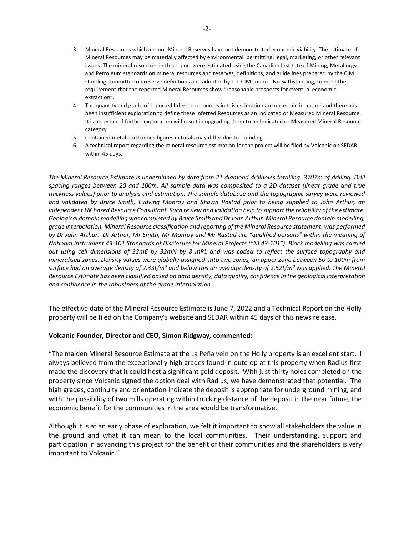- 3. Mineral Resources which are not Mineral Reserves have not demonstrated economic viability. The estimate of Mineral Resources may be materially affected by environmental, permitting, legal, marketing, or other relevant issues. The mineral resources in this report were estimated using the Canadian Institute of Mining, Metallurgy and Petroleum standards on mineral resources and reserves, definitions, and guidelines prepared by the CIM standing committee on reserve definitions and adopted by the CIM council. Notwithstanding, to meet the requirement that the reported Mineral Resources show "reasonable prospects for eventual economic extraction".
- 4. The quantity and grade of reported Inferred resources in this estimation are uncertain in nature and there has been insufficient exploration to define these Inferred Resources as an Indicated or Measured Mineral Resource. It is uncertain if further exploration will result in upgrading them to an Indicated or Measured Mineral Resource category.
- 5. Contained metal and tonnes figures in totals may differ due to rounding.
- 6. A technical report regarding the mineral resource estimation for the project will be filed by Volcanic on SEDAR within 45 days.

The Mineral Resource Estimate is underpinned by data from 21 diamond drillholes totalling 3707m of drilling. Drill spacing ranges between 20 and 100m. All sample data was composited to a 2D dataset (linear grade and true *thickness values) prior to analysis and estimation. The sample database and the topographic survey were reviewed* and validated by Bruce Smith, Ludving Monroy and Shawn Rastad prior to being supplied to John Arthur, an independent UK based Resource Consultant. Such review and validation help to support the reliability of the estimate. *Geological domain modelling was completed by Bruce Smith and DrJohn Arthur. Mineral Resource domain modelling, grade interpolation, Mineral Resource classification and reporting of the Mineral Resource statement, was performed* by Dr John Arthur. Dr Arthur, Mr Smith, Mr Monroy and Mr Rastad are "qualified persons" within the meaning of National Instrument 43-101 Standards of Disclosure for Mineral Projects ("NI 43-101"). Block modelling was carried out using cell dimensions of 32mE by 32mN by 8 mRL and was coded to reflect the surface topography and mineralised zones. Density values were globally assigned into two zones, an upper zone between 50 to 100m from surface had an average density of 2.33t/m<sup>3</sup> and below this an average density of 2.52t/m<sup>3</sup> was applied. The Mineral Resource Estimate has been classified based on data density, data quality, confidence in the geological interpretation *and confidence in the robustness of the grade interpolation.*

The effective date of the Mineral Resource Estimate is June 7, 2022 and a Technical Report on the Holly property will be filed on the Company's website and SEDAR within 45 days of this news release.

#### **Volcanic Founder, Director and CEO, Simon Ridgway, commented:**

"The maiden Mineral Resource Estimate at the La Peña vein on the Holly property is an excellent start. I always believed from the exceptionally high grades found in outcrop at this property when Radius first made the discovery that it could host a significant gold deposit. With just thirty holes completed on the property since Volcanic signed the option deal with Radius, we have demonstrated that potential. The high grades, continuity and orientation indicate the deposit is appropriate for underground mining, and with the possibility of two mills operating within trucking distance of the deposit in the near future, the economic benefit for the communities in the area would be transformative.

Although it is at an early phase of exploration, we felt it important to show all stakeholders the value in the ground and what it can mean to the local communities. Their understanding, support and participation in advancing this project for the benefit of their communities and the shareholders is very important to Volcanic."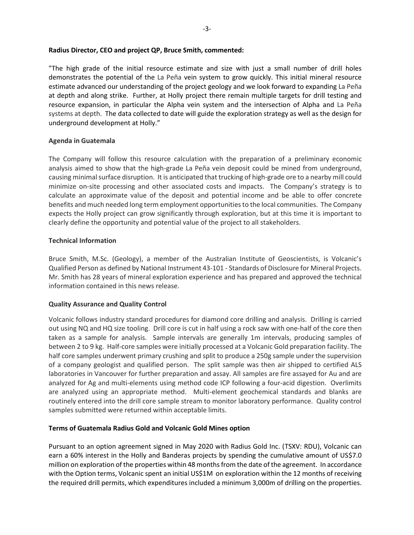#### **Radius Director, CEO and project QP, Bruce Smith, commented:**

"The high grade of the initial resource estimate and size with just a small number of drill holes demonstrates the potential of the La Peña vein system to grow quickly. This initial mineral resource estimate advanced our understanding of the project geology and we look forward to expanding La Peña at depth and along strike. Further, at Holly project there remain multiple targets for drill testing and resource expansion, in particular the Alpha vein system and the intersection of Alpha and La Peña systems at depth. The data collected to date will guide the exploration strategy as well as the design for underground development at Holly."

#### **Agenda in Guatemala**

The Company will follow this resource calculation with the preparation of a preliminary economic analysis aimed to show that the high-grade La Peña vein deposit could be mined from underground, causing minimal surface disruption. It is anticipated that trucking of high-grade ore to a nearby mill could minimize on-site processing and other associated costs and impacts. The Company's strategy is to calculate an approximate value of the deposit and potential income and be able to offer concrete benefits and much needed long term employment opportunitiesto the local communities. The Company expects the Holly project can grow significantly through exploration, but at this time it is important to clearly define the opportunity and potential value of the project to all stakeholders.

#### **Technical Information**

Bruce Smith, M.Sc. (Geology), a member of the Australian Institute of Geoscientists, is Volcanic's Qualified Person as defined by National Instrument 43-101 - Standards of Disclosure for Mineral Projects. Mr. Smith has 28 years of mineral exploration experience and has prepared and approved the technical information contained in this news release.

### **Quality Assurance and Quality Control**

Volcanic follows industry standard procedures for diamond core drilling and analysis. Drilling is carried out using NQ and HQ size tooling. Drill core is cut in half using a rock saw with one-half of the core then taken as a sample for analysis. Sample intervals are generally 1m intervals, producing samples of between 2 to 9 kg. Half-core samples were initially processed at a Volcanic Gold preparation facility. The half core samples underwent primary crushing and split to produce a 250g sample under the supervision of a company geologist and qualified person. The split sample was then air shipped to certified ALS laboratories in Vancouver for further preparation and assay. All samples are fire assayed for Au and are analyzed for Ag and multi-elements using method code ICP following a four-acid digestion. Overlimits are analyzed using an appropriate method. Multi-element geochemical standards and blanks are routinely entered into the drill core sample stream to monitor laboratory performance. Quality control samples submitted were returned within acceptable limits.

#### **Terms of Guatemala Radius Gold and Volcanic Gold Mines option**

Pursuant to an option agreement signed in May 2020 with Radius Gold Inc. (TSXV: RDU), Volcanic can earn a 60% interest in the Holly and Banderas projects by spending the cumulative amount of US\$7.0 million on exploration of the properties within 48 months from the date of the agreement. In accordance with the Option terms, Volcanic spent an initial US\$1M on exploration within the 12 months of receiving the required drill permits, which expenditures included a minimum 3,000m of drilling on the properties.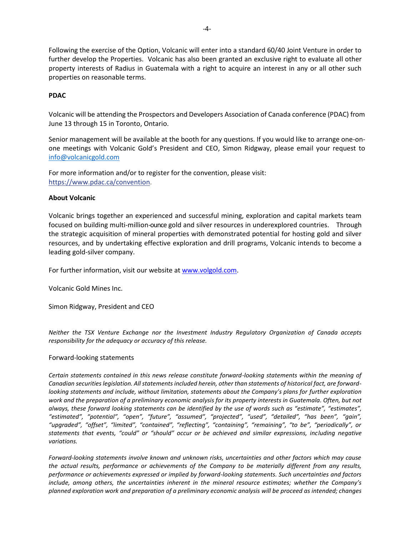Following the exercise of the Option, Volcanic will enter into a standard 60/40 Joint Venture in order to further develop the Properties. Volcanic has also been granted an exclusive right to evaluate all other property interests of Radius in Guatemala with a right to acquire an interest in any or all other such properties on reasonable terms.

#### **PDAC**

Volcanic will be attending the Prospectors and Developers Association of Canada conference (PDAC) from June 13 through 15 in Toronto, Ontario.

Senior management will be available at the booth for any questions. If you would like to arrange one-onone meetings with Volcanic Gold's President and CEO, Simon Ridgway, please email your request to [info@volcanicgold.com](mailto:info@volcanicgold.com)

For more information and/or to register for the convention, please visit: [https://www.pdac.ca/convention.](https://pr.report/AF3MNBwV)

#### **About Volcanic**

Volcanic brings together an experienced and successful mining, exploration and capital markets team focused on building multi-million-ounce gold and silver resources in underexplored countries. Through the strategic acquisition of mineral properties with demonstrated potential for hosting gold and silver resources, and by undertaking effective exploration and drill programs, Volcanic intends to become a leading gold-silver company.

For further information, visit our website at [www.volgold.com.](http://www.volgold.com/)

Volcanic Gold Mines Inc.

Simon Ridgway, President and CEO

*Neither the TSX Venture Exchange nor the Investment Industry Regulatory Organization of Canada accepts responsibility for the adequacy or accuracy of this release.*

#### Forward-looking statements

*Certain statements contained in this news release constitute forward-looking statements within the meaning of Canadian securities legislation. All statements included herein, other than statements of historical fact, are forwardlooking statements and include, without limitation, statements about the Company's plans for further exploration work and the preparation of a preliminary economic analysis for its property interests in Guatemala. Often, but not always, these forward looking statements can be identified by the use of words such as "estimate", "estimates", "estimated", "potential", "open", "future", "assumed", "projected", "used", "detailed", "has been", "gain", "upgraded", "offset", "limited", "contained", "reflecting", "containing", "remaining", "to be", "periodically", or statements that events, "could" or "should" occur or be achieved and similar expressions, including negative variations.*

*Forward-looking statements involve known and unknown risks, uncertainties and other factors which may cause the actual results, performance or achievements of the Company to be materially different from any results, performance or achievements expressed or implied by forward-looking statements. Such uncertainties and factors include, among others, the uncertainties inherent in the mineral resource estimates; whether the Company's planned exploration work and preparation of a preliminary economic analysis will be proceed as intended; changes*